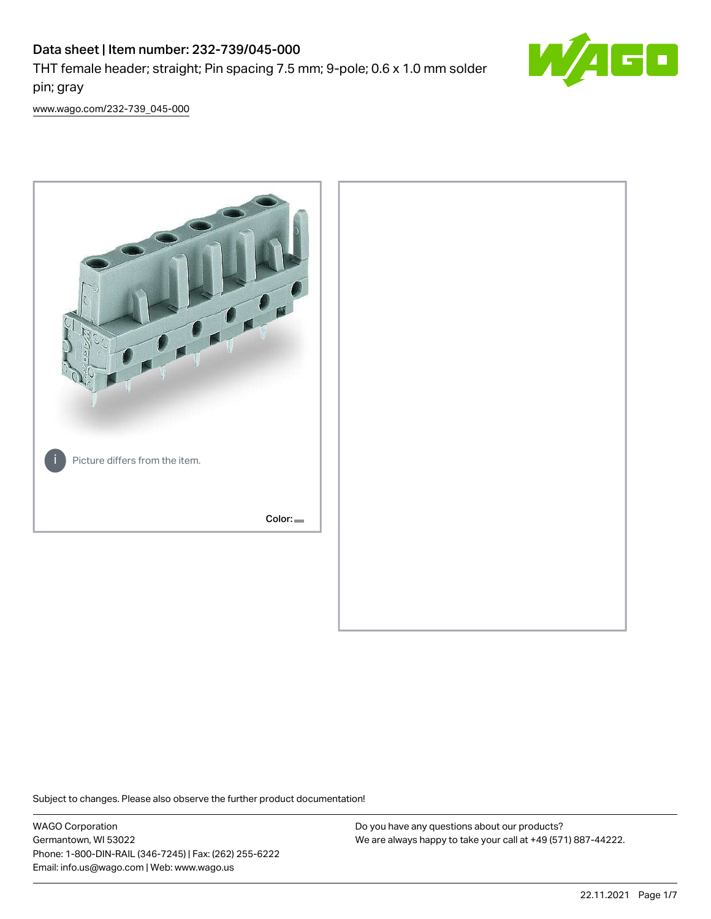# Data sheet | Item number: 232-739/045-000 THT female header; straight; Pin spacing 7.5 mm; 9-pole; 0.6 x 1.0 mm solder pin; gray



[www.wago.com/232-739\\_045-000](http://www.wago.com/232-739_045-000)



Subject to changes. Please also observe the further product documentation!

WAGO Corporation Germantown, WI 53022 Phone: 1-800-DIN-RAIL (346-7245) | Fax: (262) 255-6222 Email: info.us@wago.com | Web: www.wago.us

Do you have any questions about our products? We are always happy to take your call at +49 (571) 887-44222.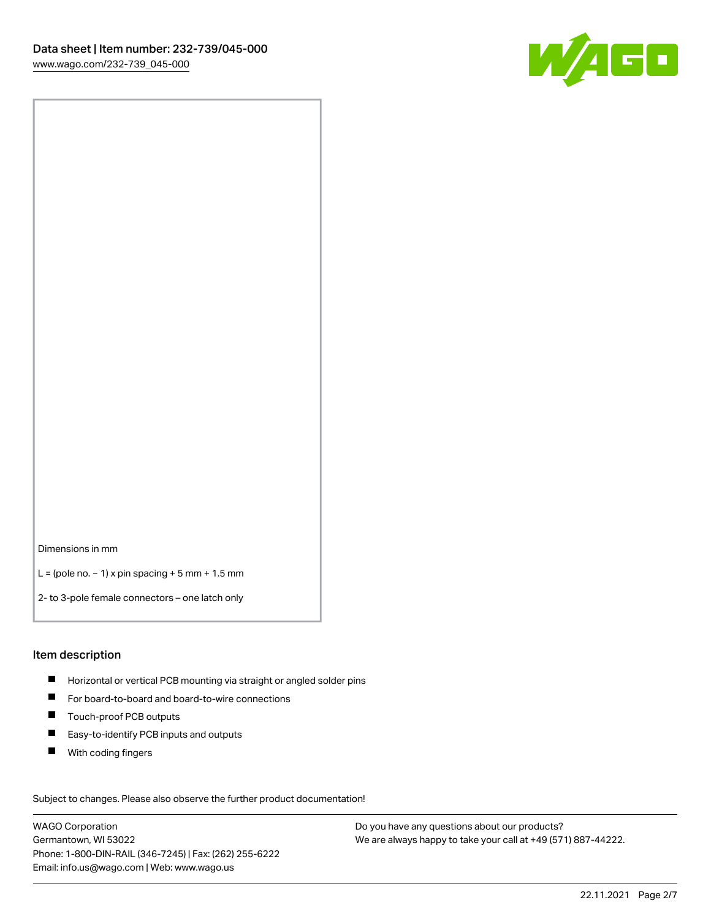

Dimensions in mm

L = (pole no. − 1) x pin spacing + 5 mm + 1.5 mm

2- to 3-pole female connectors – one latch only

#### Item description

- **H** Horizontal or vertical PCB mounting via straight or angled solder pins
- For board-to-board and board-to-wire connections
- Touch-proof PCB outputs  $\blacksquare$
- $\blacksquare$ Easy-to-identify PCB inputs and outputs
- $\blacksquare$ With coding fingers

Subject to changes. Please also observe the further product documentation! Data

WAGO Corporation Germantown, WI 53022 Phone: 1-800-DIN-RAIL (346-7245) | Fax: (262) 255-6222 Email: info.us@wago.com | Web: www.wago.us

Do you have any questions about our products? We are always happy to take your call at +49 (571) 887-44222.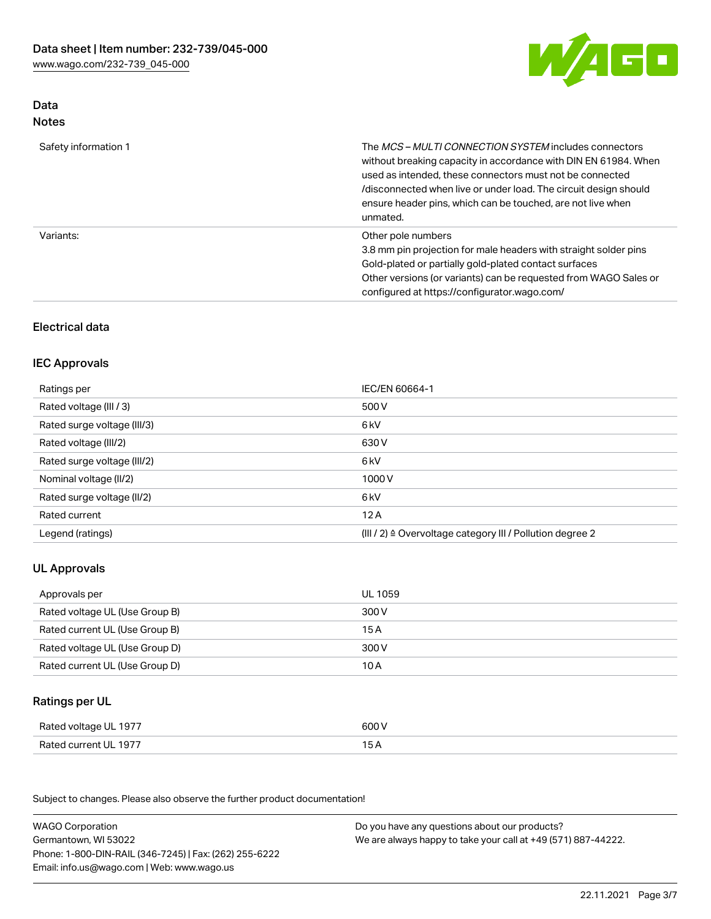

## Data Notes

| Safety information 1 | The <i>MCS – MULTI CONNECTION SYSTEM</i> includes connectors<br>without breaking capacity in accordance with DIN EN 61984. When<br>used as intended, these connectors must not be connected<br>/disconnected when live or under load. The circuit design should<br>ensure header pins, which can be touched, are not live when<br>unmated. |
|----------------------|--------------------------------------------------------------------------------------------------------------------------------------------------------------------------------------------------------------------------------------------------------------------------------------------------------------------------------------------|
| Variants:            | Other pole numbers<br>3.8 mm pin projection for male headers with straight solder pins<br>Gold-plated or partially gold-plated contact surfaces<br>Other versions (or variants) can be requested from WAGO Sales or<br>configured at https://configurator.wago.com/                                                                        |

# Electrical data

### IEC Approvals

| Ratings per                 | IEC/EN 60664-1                                                        |
|-----------------------------|-----------------------------------------------------------------------|
| Rated voltage (III / 3)     | 500 V                                                                 |
| Rated surge voltage (III/3) | 6 kV                                                                  |
| Rated voltage (III/2)       | 630 V                                                                 |
| Rated surge voltage (III/2) | 6 kV                                                                  |
| Nominal voltage (II/2)      | 1000 V                                                                |
| Rated surge voltage (II/2)  | 6 kV                                                                  |
| Rated current               | 12A                                                                   |
| Legend (ratings)            | $(III / 2)$ $\triangle$ Overvoltage category III / Pollution degree 2 |

## UL Approvals

| Approvals per                  | UL 1059 |
|--------------------------------|---------|
| Rated voltage UL (Use Group B) | 300 V   |
| Rated current UL (Use Group B) | 15 A    |
| Rated voltage UL (Use Group D) | 300 V   |
| Rated current UL (Use Group D) | 10 A    |

# Ratings per UL

| Rated voltage UL 1977 | 600 V |
|-----------------------|-------|
| Rated current UL 1977 |       |

Subject to changes. Please also observe the further product documentation!

| <b>WAGO Corporation</b>                                | Do you have any questions about our products?                 |
|--------------------------------------------------------|---------------------------------------------------------------|
| Germantown, WI 53022                                   | We are always happy to take your call at +49 (571) 887-44222. |
| Phone: 1-800-DIN-RAIL (346-7245)   Fax: (262) 255-6222 |                                                               |
| Email: info.us@wago.com   Web: www.wago.us             |                                                               |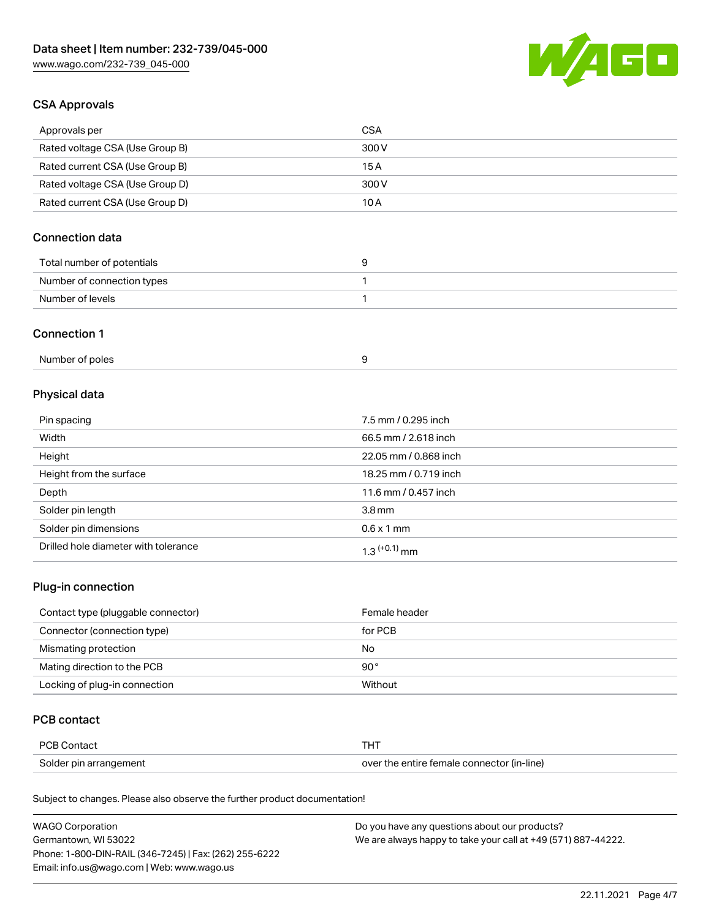

## CSA Approvals

| Approvals per                   | CSA   |
|---------------------------------|-------|
| Rated voltage CSA (Use Group B) | 300 V |
| Rated current CSA (Use Group B) | 15 A  |
| Rated voltage CSA (Use Group D) | 300 V |
| Rated current CSA (Use Group D) | 10 A  |

# Connection data

| Total number of potentials |  |
|----------------------------|--|
| Number of connection types |  |
| Number of levels           |  |

#### Connection 1

| Number of poles |  |  |
|-----------------|--|--|
|-----------------|--|--|

# Physical data

| Pin spacing                          | 7.5 mm / 0.295 inch   |
|--------------------------------------|-----------------------|
| Width                                | 66.5 mm / 2.618 inch  |
| Height                               | 22.05 mm / 0.868 inch |
| Height from the surface              | 18.25 mm / 0.719 inch |
| Depth                                | 11.6 mm / 0.457 inch  |
| Solder pin length                    | 3.8 <sub>mm</sub>     |
| Solder pin dimensions                | $0.6 \times 1$ mm     |
| Drilled hole diameter with tolerance | $1.3$ $(+0.1)$ mm     |

## Plug-in connection

| Contact type (pluggable connector) | Female header |
|------------------------------------|---------------|
| Connector (connection type)        | for PCB       |
| Mismating protection               | No            |
| Mating direction to the PCB        | $90^{\circ}$  |
| Locking of plug-in connection      | Without       |

## PCB contact

| PCB Contact            | THT                                        |
|------------------------|--------------------------------------------|
| Solder pin arrangement | over the entire female connector (in-line) |

Subject to changes. Please also observe the further product documentation!

| <b>WAGO Corporation</b>                                | Do you have any questions about our products?                 |
|--------------------------------------------------------|---------------------------------------------------------------|
| Germantown, WI 53022                                   | We are always happy to take your call at +49 (571) 887-44222. |
| Phone: 1-800-DIN-RAIL (346-7245)   Fax: (262) 255-6222 |                                                               |
| Email: info.us@wago.com   Web: www.wago.us             |                                                               |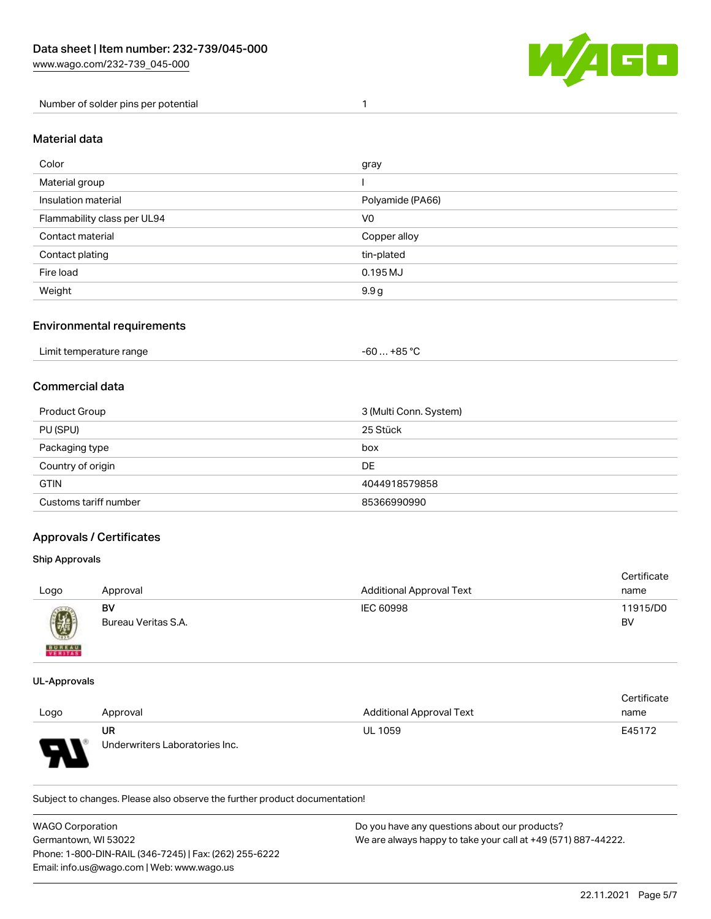

Number of solder pins per potential 1

#### Material data

| Color                       | gray             |
|-----------------------------|------------------|
| Material group              |                  |
| Insulation material         | Polyamide (PA66) |
| Flammability class per UL94 | V <sub>0</sub>   |
| Contact material            | Copper alloy     |
| Contact plating             | tin-plated       |
| Fire load                   | 0.195 MJ         |
| Weight                      | 9.9 g            |

#### Environmental requirements

| Limit temperature range<br>. | . +85 °C<br>-60 |  |
|------------------------------|-----------------|--|
|------------------------------|-----------------|--|

## Commercial data

| Product Group         | 3 (Multi Conn. System) |
|-----------------------|------------------------|
| PU (SPU)              | 25 Stück               |
| Packaging type        | box                    |
| Country of origin     | DE                     |
| <b>GTIN</b>           | 4044918579858          |
| Customs tariff number | 85366990990            |

### Approvals / Certificates

#### Ship Approvals

| Logo                     | Approval                  | <b>Additional Approval Text</b> | Certificate<br>name |
|--------------------------|---------------------------|---------------------------------|---------------------|
| Ø                        | BV<br>Bureau Veritas S.A. | IEC 60998                       | 11915/D0<br>BV      |
| <b>BUREAU</b><br>VERITAS |                           |                                 |                     |

#### UL-Approvals

 $\mathbf{A}$ 

|      |                                |                                 | Certificate |
|------|--------------------------------|---------------------------------|-------------|
| Logo | Approval                       | <b>Additional Approval Text</b> | name        |
|      | UR                             | <b>UL 1059</b>                  | E45172      |
| Б    | Underwriters Laboratories Inc. |                                 |             |

Subject to changes. Please also observe the further product documentation!

| <b>WAGO Corporation</b>                                | Do you have any questions about our products?                 |
|--------------------------------------------------------|---------------------------------------------------------------|
| Germantown. WI 53022                                   | We are always happy to take your call at +49 (571) 887-44222. |
| Phone: 1-800-DIN-RAIL (346-7245)   Fax: (262) 255-6222 |                                                               |
| Email: info.us@wago.com   Web: www.wago.us             |                                                               |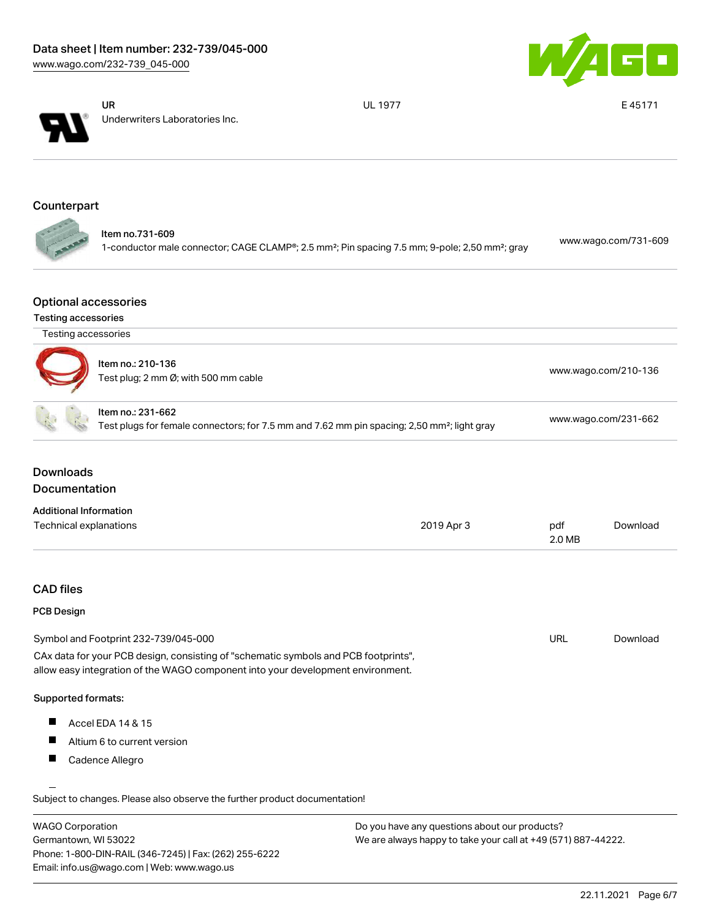



UR Underwriters Laboratories Inc. UL 1977 **E 45171** 

# Counterpart

| Item no.731-609                                                                                                        | www.wago.com/731-609 |
|------------------------------------------------------------------------------------------------------------------------|----------------------|
| 1-conductor male connector; CAGE CLAMP®; 2.5 mm <sup>2</sup> ; Pin spacing 7.5 mm; 9-pole; 2,50 mm <sup>2</sup> ; gray |                      |

### Optional accessories

#### Testing accessories

|                               | Testing accessories                                                                                                                                                    |            |                      |                      |
|-------------------------------|------------------------------------------------------------------------------------------------------------------------------------------------------------------------|------------|----------------------|----------------------|
|                               | Item no.: 210-136<br>Test plug; 2 mm Ø; with 500 mm cable                                                                                                              |            | www.wago.com/210-136 |                      |
|                               | Item no.: 231-662<br>Test plugs for female connectors; for 7.5 mm and 7.62 mm pin spacing; 2,50 mm <sup>2</sup> ; light gray                                           |            |                      | www.wago.com/231-662 |
| <b>Downloads</b>              |                                                                                                                                                                        |            |                      |                      |
| Documentation                 |                                                                                                                                                                        |            |                      |                      |
| <b>Additional Information</b> |                                                                                                                                                                        |            |                      |                      |
| Technical explanations        |                                                                                                                                                                        | 2019 Apr 3 | pdf<br>2.0 MB        | Download             |
| <b>CAD files</b>              |                                                                                                                                                                        |            |                      |                      |
| PCB Design                    |                                                                                                                                                                        |            |                      |                      |
|                               | Symbol and Footprint 232-739/045-000                                                                                                                                   |            | <b>URL</b>           | Download             |
|                               | CAx data for your PCB design, consisting of "schematic symbols and PCB footprints",<br>allow easy integration of the WAGO component into your development environment. |            |                      |                      |
| Supported formats:            |                                                                                                                                                                        |            |                      |                      |
|                               | Accel EDA 14 & 15                                                                                                                                                      |            |                      |                      |
| H                             |                                                                                                                                                                        |            |                      |                      |
| H.                            | Altium 6 to current version                                                                                                                                            |            |                      |                      |

| <b>WAGO Corporation</b>                                | Do you have any questions about our products?                 |
|--------------------------------------------------------|---------------------------------------------------------------|
| Germantown, WI 53022                                   | We are always happy to take your call at +49 (571) 887-44222. |
| Phone: 1-800-DIN-RAIL (346-7245)   Fax: (262) 255-6222 |                                                               |
| Email: info.us@wago.com   Web: www.wago.us             |                                                               |